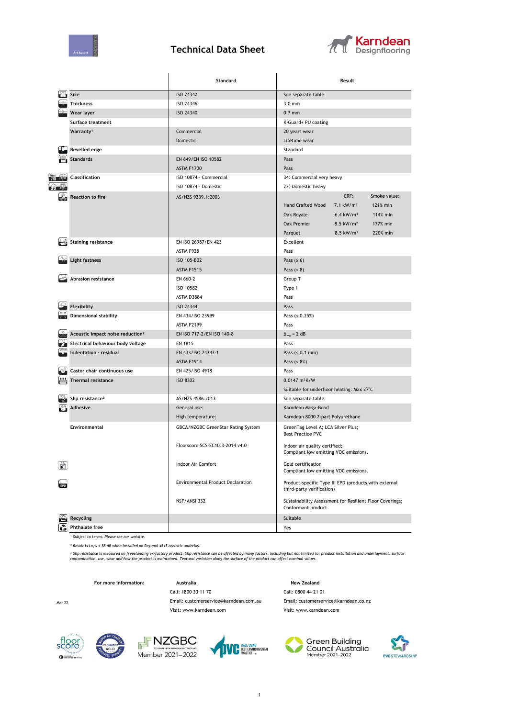

## **Technical Data Sheet**



|                 |                                              | Standard                                                                           | Result                                                                         |  |  |
|-----------------|----------------------------------------------|------------------------------------------------------------------------------------|--------------------------------------------------------------------------------|--|--|
|                 | Size                                         | ISO 24342                                                                          | See separate table                                                             |  |  |
|                 | <b>Thickness</b>                             | ISO 24346                                                                          | $3.0 \text{ mm}$                                                               |  |  |
|                 | Wear layer                                   | ISO 24340                                                                          | $0.7$ mm                                                                       |  |  |
|                 | Surface treatment                            |                                                                                    | K-Guard+ PU coating                                                            |  |  |
|                 | Warranty <sup>1</sup>                        | Commercial                                                                         | 20 years wear                                                                  |  |  |
|                 |                                              | Domestic                                                                           | Lifetime wear                                                                  |  |  |
|                 | <b>Bevelled edge</b>                         |                                                                                    | Standard                                                                       |  |  |
|                 | <b>Standards</b>                             | EN 649/EN ISO 10582                                                                | Pass<br>Pass                                                                   |  |  |
|                 |                                              | <b>ASTM F1700</b>                                                                  |                                                                                |  |  |
| <b>THE REAL</b> | Classification                               | ISO 10874 - Commercial                                                             | 34: Commercial very heavy                                                      |  |  |
|                 |                                              | ISO 10874 - Domestic                                                               | 23: Domestic heavy                                                             |  |  |
|                 | <b>Reaction to fire</b>                      | AS/NZS 9239.1:2003                                                                 | CRF:<br>Smoke value:                                                           |  |  |
|                 |                                              |                                                                                    | <b>Hand Crafted Wood</b><br>$7.1 \text{ kW/m}^2$<br>121% min                   |  |  |
|                 |                                              |                                                                                    | $6.4$ kW/m <sup>2</sup><br>114% min<br>Oak Royale                              |  |  |
|                 |                                              |                                                                                    | 177% min<br>Oak Premier<br>$8.5$ kW/m <sup>2</sup>                             |  |  |
|                 |                                              |                                                                                    | Parquet<br>$8.5$ kW/m <sup>2</sup><br>220% min                                 |  |  |
|                 | <b>Staining resistance</b>                   | EN ISO 26987/EN 423                                                                | Excellent                                                                      |  |  |
|                 |                                              | ASTM F925                                                                          | Pass                                                                           |  |  |
|                 | <b>Light fastness</b>                        | ISO 105-B02                                                                        | Pass ( $\geq 6$ )                                                              |  |  |
|                 |                                              | <b>ASTM F1515</b>                                                                  | Pass $( < 8)$                                                                  |  |  |
|                 | Abrasion resistance                          | EN 660-2                                                                           | Group T                                                                        |  |  |
|                 |                                              | ISO 10582                                                                          | Type 1                                                                         |  |  |
|                 |                                              | ASTM D3884                                                                         | Pass                                                                           |  |  |
|                 | Flexibility                                  | ISO 24344                                                                          | Pass                                                                           |  |  |
|                 | <b>Dimensional stability</b>                 | EN 434/ISO 23999                                                                   | Pass $( \le 0.25\%)$                                                           |  |  |
|                 |                                              | <b>ASTM F2199</b>                                                                  | Pass                                                                           |  |  |
|                 | Acoustic impact noise reduction <sup>2</sup> | EN ISO 717-2/EN ISO 140-8                                                          | $\Delta L_w = 2 dB$                                                            |  |  |
|                 | Electrical behaviour body voltage            | EN 1815                                                                            | Pass                                                                           |  |  |
|                 | Indentation - residual                       | EN 433/ISO 24343-1                                                                 | Pass $(s 0.1 mm)$<br>Pass $( < 8\%)$                                           |  |  |
|                 |                                              | <b>ASTM F1914</b>                                                                  |                                                                                |  |  |
|                 | Castor chair continuous use                  | EN 425/ISO 4918                                                                    | Pass                                                                           |  |  |
|                 | <b>Thermal resistance</b>                    | <b>ISO 8302</b>                                                                    | $0.0147 \text{ m}^2$ K/W                                                       |  |  |
|                 |                                              |                                                                                    | Suitable for underfloor heating. Max 27°C                                      |  |  |
|                 | Slip resistance <sup>3</sup>                 | AS/NZS 4586:2013                                                                   | See separate table                                                             |  |  |
|                 | <b>Adhesive</b>                              | General use:                                                                       | Karndean Mega-Bond                                                             |  |  |
|                 |                                              | High temperature:                                                                  | Karndean 8000 2-part Polyurethane                                              |  |  |
|                 | Environmental                                | GBCA/NZGBC GreenStar Rating System                                                 | GreenTag Level A; LCA Silver Plus;<br><b>Best Practice PVC</b>                 |  |  |
|                 |                                              | Floorscore SCS-EC10.3-2014 v4.0                                                    | Indoor air quality certified;<br>Compliant low emitting VOC emissions.         |  |  |
|                 |                                              | Indoor Air Comfort                                                                 | Gold certification<br>Compliant low emitting VOC emissions.                    |  |  |
|                 |                                              | Product-specific Type III EPD (products with external<br>third-party verification) |                                                                                |  |  |
|                 |                                              | NSF/ANSI 332                                                                       | Sustainability Assessment for Resilient Floor Coverings;<br>Conformant product |  |  |
|                 | Recycling                                    |                                                                                    | Suitable                                                                       |  |  |
|                 | <b>Phthalate free</b>                        |                                                                                    | Yes                                                                            |  |  |

*¹ Subject to terms. Please see our website.*

*² Result is Ln,w = 58 dB when installed on Regupol 4515 acoustic underlay.*

<sup>3</sup> Slip resistance is measured on freestanding ex-factory product. Slip resistance can be affected by many factors, including but not limited to; product installation and underlayment, surface<br>contamination, use, wear and

Visit: www.karndean.com Visit: www.karndean.com

**For more information: Australia Australia New Zealand** 

Call: 1800 33 11 70 Call: 0800 44 21 01 Mar 22 Email: customerservice@karndean.com.au Email: customerservice@karndean.co.nz